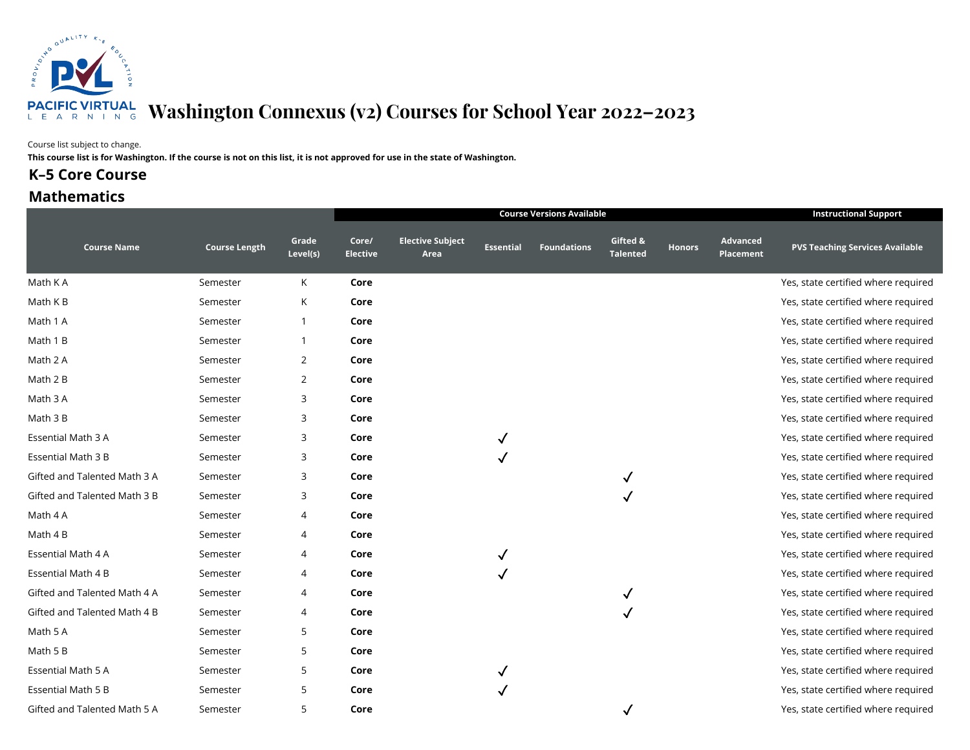

#### Course list subject to change.

**This course list is for Washington. If the course is not on this list, it is not approved for use in the state of Washington.**

### **K-5 Core Course**

### **Mathematics**

|                              |                      |                   |                          |                                 | <b>Instructional Support</b> |                    |                      |               |                                     |                                        |
|------------------------------|----------------------|-------------------|--------------------------|---------------------------------|------------------------------|--------------------|----------------------|---------------|-------------------------------------|----------------------------------------|
| <b>Course Name</b>           | <b>Course Length</b> | Grade<br>Level(s) | Core/<br><b>Elective</b> | <b>Elective Subject</b><br>Area | <b>Essential</b>             | <b>Foundations</b> | Gifted &<br>Talented | <b>Honors</b> | <b>Advanced</b><br><b>Placement</b> | <b>PVS Teaching Services Available</b> |
| Math K A                     | Semester             | K                 | Core                     |                                 |                              |                    |                      |               |                                     | Yes, state certified where required    |
| Math K B                     | Semester             | К                 | Core                     |                                 |                              |                    |                      |               |                                     | Yes, state certified where required    |
| Math 1 A                     | Semester             | $\overline{1}$    | Core                     |                                 |                              |                    |                      |               |                                     | Yes, state certified where required    |
| Math 1 B                     | Semester             | -1                | Core                     |                                 |                              |                    |                      |               |                                     | Yes, state certified where required    |
| Math 2 A                     | Semester             | 2                 | Core                     |                                 |                              |                    |                      |               |                                     | Yes, state certified where required    |
| Math 2 B                     | Semester             | 2                 | Core                     |                                 |                              |                    |                      |               |                                     | Yes, state certified where required    |
| Math 3 A                     | Semester             | 3                 | Core                     |                                 |                              |                    |                      |               |                                     | Yes, state certified where required    |
| Math 3 B                     | Semester             | 3                 | Core                     |                                 |                              |                    |                      |               |                                     | Yes, state certified where required    |
| Essential Math 3 A           | Semester             | 3                 | Core                     |                                 |                              |                    |                      |               |                                     | Yes, state certified where required    |
| Essential Math 3 B           | Semester             | 3                 | Core                     |                                 |                              |                    |                      |               |                                     | Yes, state certified where required    |
| Gifted and Talented Math 3 A | Semester             | 3                 | Core                     |                                 |                              |                    |                      |               |                                     | Yes, state certified where required    |
| Gifted and Talented Math 3 B | Semester             | 3                 | Core                     |                                 |                              |                    | ✓                    |               |                                     | Yes, state certified where required    |
| Math 4 A                     | Semester             | 4                 | Core                     |                                 |                              |                    |                      |               |                                     | Yes, state certified where required    |
| Math 4 B                     | Semester             | 4                 | Core                     |                                 |                              |                    |                      |               |                                     | Yes, state certified where required    |
| Essential Math 4 A           | Semester             | 4                 | Core                     |                                 |                              |                    |                      |               |                                     | Yes, state certified where required    |
| Essential Math 4 B           | Semester             | 4                 | Core                     |                                 |                              |                    |                      |               |                                     | Yes, state certified where required    |
| Gifted and Talented Math 4 A | Semester             | 4                 | Core                     |                                 |                              |                    |                      |               |                                     | Yes, state certified where required    |
| Gifted and Talented Math 4 B | Semester             | 4                 | Core                     |                                 |                              |                    |                      |               |                                     | Yes, state certified where required    |
| Math 5 A                     | Semester             | 5                 | Core                     |                                 |                              |                    |                      |               |                                     | Yes, state certified where required    |
| Math 5 B                     | Semester             | 5                 | Core                     |                                 |                              |                    |                      |               |                                     | Yes, state certified where required    |
| Essential Math 5 A           | Semester             | 5                 | Core                     |                                 | $\checkmark$                 |                    |                      |               |                                     | Yes, state certified where required    |
| <b>Essential Math 5 B</b>    | Semester             | 5                 | Core                     |                                 |                              |                    |                      |               |                                     | Yes, state certified where required    |
| Gifted and Talented Math 5 A | Semester             | 5                 | Core                     |                                 |                              |                    |                      |               |                                     | Yes, state certified where required    |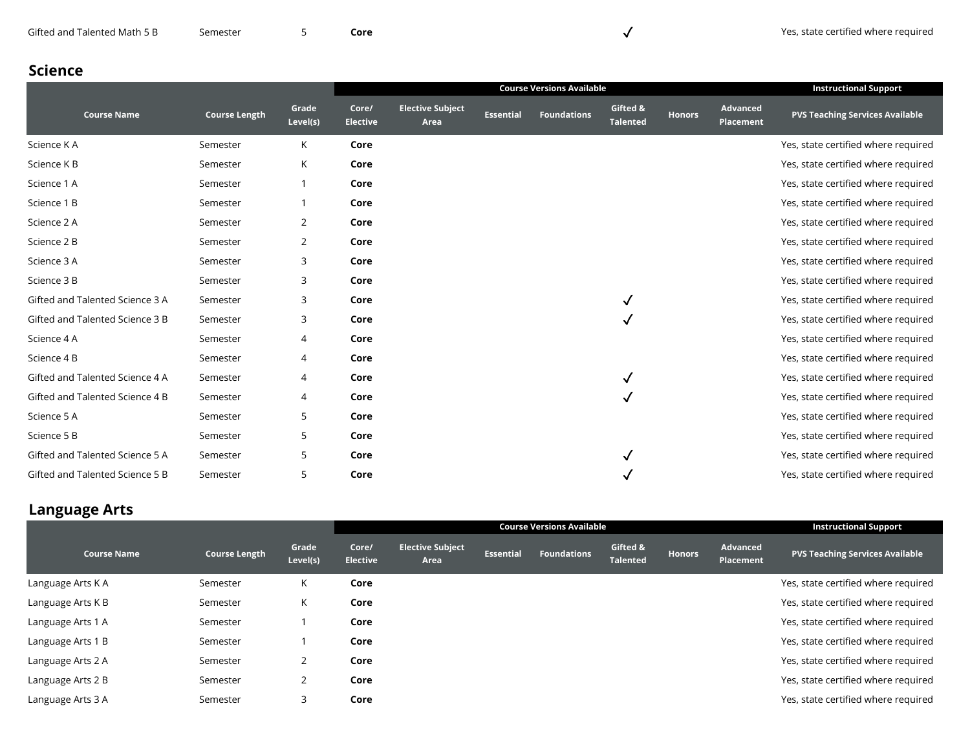| Gifted and Talented Math 5 B | Semester |
|------------------------------|----------|
|------------------------------|----------|

## **Science**

|                                 |                      |                   | <b>Course Versions Available</b> |                                 |                  |                    |                      |               |                              | <b>Instructional Support</b>           |
|---------------------------------|----------------------|-------------------|----------------------------------|---------------------------------|------------------|--------------------|----------------------|---------------|------------------------------|----------------------------------------|
| <b>Course Name</b>              | <b>Course Length</b> | Grade<br>Level(s) | Core/<br><b>Elective</b>         | <b>Elective Subject</b><br>Area | <b>Essential</b> | <b>Foundations</b> | Gifted &<br>Talented | <b>Honors</b> | Advanced<br><b>Placement</b> | <b>PVS Teaching Services Available</b> |
| Science KA                      | Semester             | K                 | Core                             |                                 |                  |                    |                      |               |                              | Yes, state certified where required    |
| Science K B                     | Semester             | К                 | Core                             |                                 |                  |                    |                      |               |                              | Yes, state certified where required    |
| Science 1 A                     | Semester             |                   | Core                             |                                 |                  |                    |                      |               |                              | Yes, state certified where required    |
| Science 1 B                     | Semester             | -1                | Core                             |                                 |                  |                    |                      |               |                              | Yes, state certified where required    |
| Science 2 A                     | Semester             | $\overline{2}$    | Core                             |                                 |                  |                    |                      |               |                              | Yes, state certified where required    |
| Science 2 B                     | Semester             | 2                 | Core                             |                                 |                  |                    |                      |               |                              | Yes, state certified where required    |
| Science 3 A                     | Semester             | 3                 | Core                             |                                 |                  |                    |                      |               |                              | Yes, state certified where required    |
| Science 3 B                     | Semester             | 3                 | Core                             |                                 |                  |                    |                      |               |                              | Yes, state certified where required    |
| Gifted and Talented Science 3 A | Semester             | 3                 | Core                             |                                 |                  |                    |                      |               |                              | Yes, state certified where required    |
| Gifted and Talented Science 3 B | Semester             | 3                 | Core                             |                                 |                  |                    |                      |               |                              | Yes, state certified where required    |
| Science 4 A                     | Semester             | $\overline{4}$    | Core                             |                                 |                  |                    |                      |               |                              | Yes, state certified where required    |
| Science 4 B                     | Semester             | $\overline{4}$    | Core                             |                                 |                  |                    |                      |               |                              | Yes, state certified where required    |
| Gifted and Talented Science 4 A | Semester             | $\overline{4}$    | Core                             |                                 |                  |                    |                      |               |                              | Yes, state certified where required    |
| Gifted and Talented Science 4 B | Semester             | $\overline{4}$    | Core                             |                                 |                  |                    |                      |               |                              | Yes, state certified where required    |
| Science 5 A                     | Semester             | 5                 | Core                             |                                 |                  |                    |                      |               |                              | Yes, state certified where required    |
| Science 5 B                     | Semester             | 5                 | Core                             |                                 |                  |                    |                      |               |                              | Yes, state certified where required    |
| Gifted and Talented Science 5 A | Semester             | 5                 | Core                             |                                 |                  |                    |                      |               |                              | Yes, state certified where required    |
| Gifted and Talented Science 5 B | Semester             | 5                 | Core                             |                                 |                  |                    |                      |               |                              | Yes, state certified where required    |

## **Language Arts**

|                   |                      |                   | <b>Course Versions Available</b> |                                 |                  |                    |                             |               |                                     | <b>Instructional Support</b>           |
|-------------------|----------------------|-------------------|----------------------------------|---------------------------------|------------------|--------------------|-----------------------------|---------------|-------------------------------------|----------------------------------------|
| Course Name       | <b>Course Length</b> | Grade<br>Level(s) | Core/<br><b>Elective</b>         | <b>Elective Subject</b><br>Area | <b>Essential</b> | <b>Foundations</b> | Gifted &<br><b>Talented</b> | <b>Honors</b> | <b>Advanced</b><br><b>Placement</b> | <b>PVS Teaching Services Available</b> |
| Language Arts K A | Semester             | K                 | Core                             |                                 |                  |                    |                             |               |                                     | Yes, state certified where required    |
| Language Arts K B | Semester             | K                 | Core                             |                                 |                  |                    |                             |               |                                     | Yes, state certified where required    |
| Language Arts 1 A | Semester             |                   | Core                             |                                 |                  |                    |                             |               |                                     | Yes, state certified where required    |
| Language Arts 1 B | Semester             |                   | Core                             |                                 |                  |                    |                             |               |                                     | Yes, state certified where required    |
| Language Arts 2 A | Semester             | 2                 | Core                             |                                 |                  |                    |                             |               |                                     | Yes, state certified where required    |
| Language Arts 2 B | Semester             | 2                 | Core                             |                                 |                  |                    |                             |               |                                     | Yes, state certified where required    |
| Language Arts 3 A | Semester             | 3                 | Core                             |                                 |                  |                    |                             |               |                                     | Yes, state certified where required    |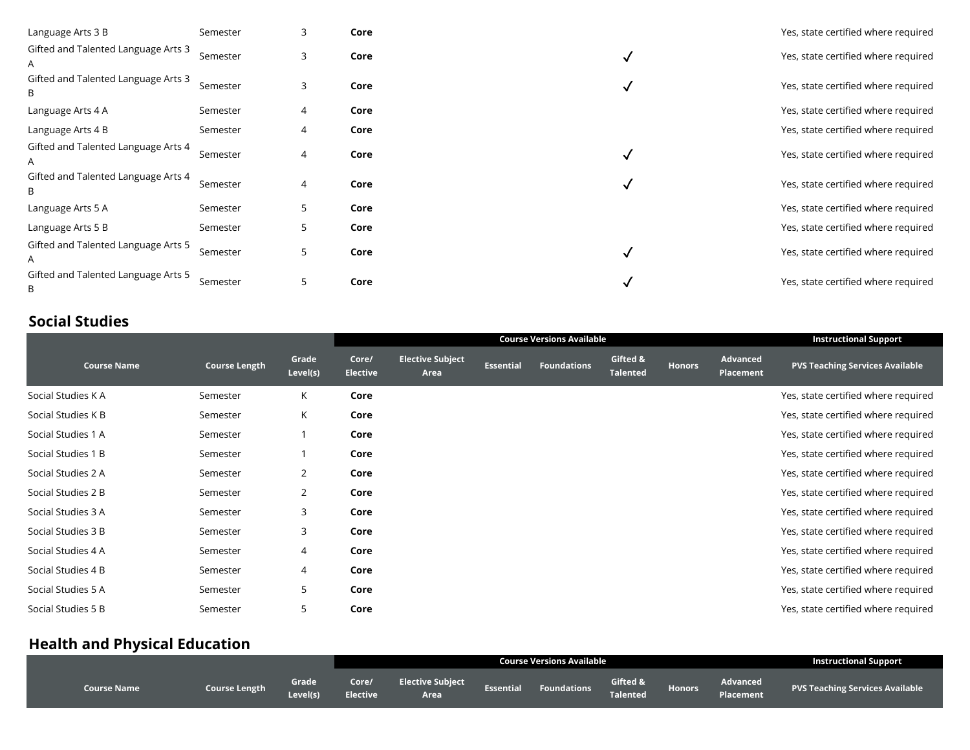| Language Arts 3 B                        | Semester | 3 | Core |   | Yes, state certified where required |
|------------------------------------------|----------|---|------|---|-------------------------------------|
| Gifted and Talented Language Arts 3<br>A | Semester | 3 | Core | √ | Yes, state certified where required |
| Gifted and Talented Language Arts 3<br>B | Semester | 3 | Core | v | Yes, state certified where required |
| Language Arts 4 A                        | Semester | 4 | Core |   | Yes, state certified where required |
| Language Arts 4 B                        | Semester | 4 | Core |   | Yes, state certified where required |
| Gifted and Talented Language Arts 4<br>A | Semester | 4 | Core | √ | Yes, state certified where required |
| Gifted and Talented Language Arts 4<br>B | Semester | 4 | Core | v | Yes, state certified where required |
| Language Arts 5 A                        | Semester | 5 | Core |   | Yes, state certified where required |
| Language Arts 5 B                        | Semester | 5 | Core |   | Yes, state certified where required |
| Gifted and Talented Language Arts 5<br>A | Semester | 5 | Core | √ | Yes, state certified where required |
| Gifted and Talented Language Arts 5<br>B | Semester | 5 | Core | v | Yes, state certified where required |

### **Social Studies**

|                    |                      |                   |                          |                                 | <b>Instructional Support</b> |                    |                             |               |                       |                                        |
|--------------------|----------------------|-------------------|--------------------------|---------------------------------|------------------------------|--------------------|-----------------------------|---------------|-----------------------|----------------------------------------|
| <b>Course Name</b> | <b>Course Length</b> | Grade<br>Level(s) | Core/<br><b>Elective</b> | <b>Elective Subject</b><br>Area | <b>Essential</b>             | <b>Foundations</b> | Gifted &<br><b>Talented</b> | <b>Honors</b> | Advanced<br>Placement | <b>PVS Teaching Services Available</b> |
| Social Studies K A | Semester             | К                 | Core                     |                                 |                              |                    |                             |               |                       | Yes, state certified where required    |
| Social Studies K B | Semester             | К                 | Core                     |                                 |                              |                    |                             |               |                       | Yes, state certified where required    |
| Social Studies 1 A | Semester             |                   | Core                     |                                 |                              |                    |                             |               |                       | Yes, state certified where required    |
| Social Studies 1 B | Semester             |                   | Core                     |                                 |                              |                    |                             |               |                       | Yes, state certified where required    |
| Social Studies 2 A | Semester             | 2                 | Core                     |                                 |                              |                    |                             |               |                       | Yes, state certified where required    |
| Social Studies 2 B | Semester             | 2                 | Core                     |                                 |                              |                    |                             |               |                       | Yes, state certified where required    |
| Social Studies 3 A | Semester             | 3                 | Core                     |                                 |                              |                    |                             |               |                       | Yes, state certified where required    |
| Social Studies 3 B | Semester             | 3                 | Core                     |                                 |                              |                    |                             |               |                       | Yes, state certified where required    |
| Social Studies 4 A | Semester             | 4                 | Core                     |                                 |                              |                    |                             |               |                       | Yes, state certified where required    |
| Social Studies 4 B | Semester             | 4                 | Core                     |                                 |                              |                    |                             |               |                       | Yes, state certified where required    |
| Social Studies 5 A | Semester             | 5                 | Core                     |                                 |                              |                    |                             |               |                       | Yes, state certified where required    |
| Social Studies 5 B | Semester             | 5                 | Core                     |                                 |                              |                    |                             |               |                       | Yes, state certified where required    |

## **Health and Physical Education**

|                    |               |                   |                          |                                 | <b>Instructional Support</b> |             |                      |               |                       |                                        |
|--------------------|---------------|-------------------|--------------------------|---------------------------------|------------------------------|-------------|----------------------|---------------|-----------------------|----------------------------------------|
| <b>Course Name</b> | Course Length | Grade<br>Level(s) | Core/<br><b>Elective</b> | <b>Elective Subject</b><br>Area | <b>Essential</b>             | Foundations | Gifted &<br>Talented | <b>Honors</b> | Advanced<br>Placement | <b>PVS Teaching Services Available</b> |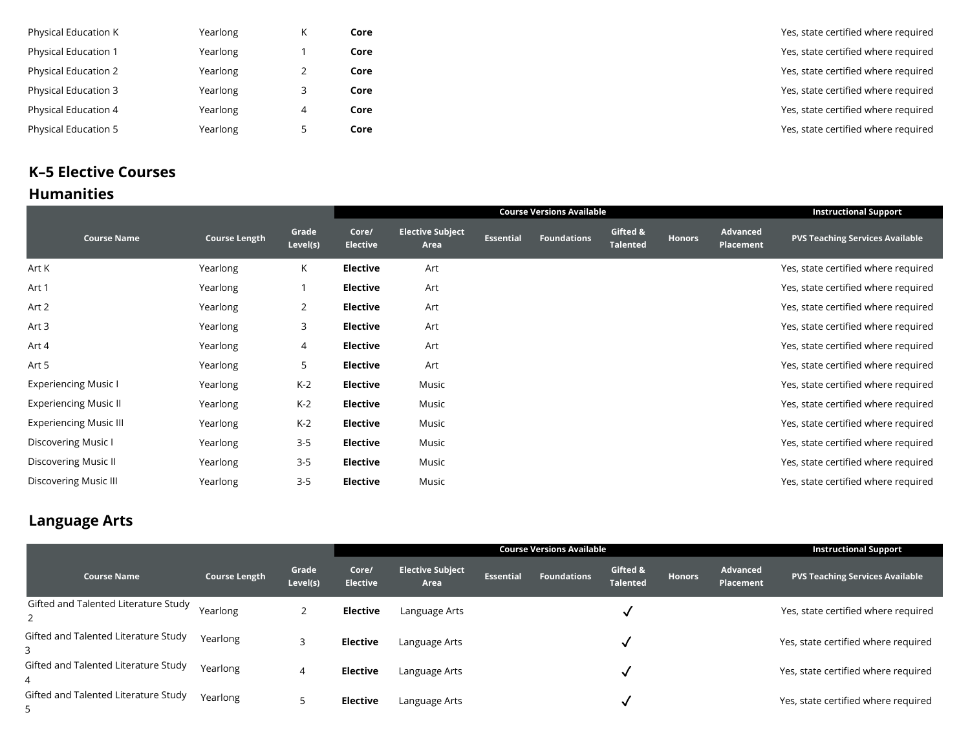| Physical Education K        | Yearlong |   | Core | Yes, state certified where required |
|-----------------------------|----------|---|------|-------------------------------------|
| <b>Physical Education 1</b> | Yearlong |   | Core | Yes, state certified where required |
| <b>Physical Education 2</b> | Yearlong |   | Core | Yes, state certified where required |
| <b>Physical Education 3</b> | Yearlong |   | Core | Yes, state certified where required |
| Physical Education 4        | Yearlong | 4 | Core | Yes, state certified where required |
| <b>Physical Education 5</b> | Yearlong |   | Core | Yes, state certified where required |
|                             |          |   |      |                                     |

### **Humanities K–5 Elective Courses**

|                               |                      |                   | <b>Course Versions Available</b> |                                 |                  |                    |                             |               |                              | <b>Instructional Support</b>           |
|-------------------------------|----------------------|-------------------|----------------------------------|---------------------------------|------------------|--------------------|-----------------------------|---------------|------------------------------|----------------------------------------|
| <b>Course Name</b>            | <b>Course Length</b> | Grade<br>Level(s) | Core/<br><b>Elective</b>         | <b>Elective Subject</b><br>Area | <b>Essential</b> | <b>Foundations</b> | Gifted &<br><b>Talented</b> | <b>Honors</b> | Advanced<br><b>Placement</b> | <b>PVS Teaching Services Available</b> |
| Art K                         | Yearlong             | K.                | <b>Elective</b>                  | Art                             |                  |                    |                             |               |                              | Yes, state certified where required    |
| Art 1                         | Yearlong             |                   | <b>Elective</b>                  | Art                             |                  |                    |                             |               |                              | Yes, state certified where required    |
| Art 2                         | Yearlong             | $\overline{2}$    | <b>Elective</b>                  | Art                             |                  |                    |                             |               |                              | Yes, state certified where required    |
| Art 3                         | Yearlong             | 3                 | <b>Elective</b>                  | Art                             |                  |                    |                             |               |                              | Yes, state certified where required    |
| Art 4                         | Yearlong             | 4                 | <b>Elective</b>                  | Art                             |                  |                    |                             |               |                              | Yes, state certified where required    |
| Art 5                         | Yearlong             | 5                 | <b>Elective</b>                  | Art                             |                  |                    |                             |               |                              | Yes, state certified where required    |
| <b>Experiencing Music I</b>   | Yearlong             | $K-2$             | <b>Elective</b>                  | Music                           |                  |                    |                             |               |                              | Yes, state certified where required    |
| <b>Experiencing Music II</b>  | Yearlong             | $K-2$             | <b>Elective</b>                  | Music                           |                  |                    |                             |               |                              | Yes, state certified where required    |
| <b>Experiencing Music III</b> | Yearlong             | $K-2$             | <b>Elective</b>                  | Music                           |                  |                    |                             |               |                              | Yes, state certified where required    |
| Discovering Music I           | Yearlong             | $3 - 5$           | <b>Elective</b>                  | Music                           |                  |                    |                             |               |                              | Yes, state certified where required    |
| Discovering Music II          | Yearlong             | $3 - 5$           | <b>Elective</b>                  | Music                           |                  |                    |                             |               |                              | Yes, state certified where required    |
| Discovering Music III         | Yearlong             | $3 - 5$           | <b>Elective</b>                  | Music                           |                  |                    |                             |               |                              | Yes, state certified where required    |

## **Language Arts**

|                                           |                      |                   |                          |                                 | <b>Instructional Support</b> |                    |                             |               |                       |                                        |
|-------------------------------------------|----------------------|-------------------|--------------------------|---------------------------------|------------------------------|--------------------|-----------------------------|---------------|-----------------------|----------------------------------------|
| <b>Course Name</b>                        | <b>Course Length</b> | Grade<br>Level(s) | Core/<br><b>Elective</b> | <b>Elective Subject</b><br>Area | <b>Essential</b>             | <b>Foundations</b> | Gifted &<br><b>Talented</b> | <b>Honors</b> | Advanced<br>Placement | <b>PVS Teaching Services Available</b> |
| Gifted and Talented Literature Study      | Yearlong             |                   | <b>Elective</b>          | Language Arts                   |                              |                    |                             |               |                       | Yes, state certified where required    |
| Gifted and Talented Literature Study<br>3 | Yearlong             |                   | <b>Elective</b>          | Language Arts                   |                              |                    |                             |               |                       | Yes, state certified where required    |
| Gifted and Talented Literature Study<br>4 | Yearlong             | 4                 | <b>Elective</b>          | Language Arts                   |                              |                    |                             |               |                       | Yes, state certified where required    |
| Gifted and Talented Literature Study<br>5 | Yearlong             |                   | <b>Elective</b>          | Language Arts                   |                              |                    |                             |               |                       | Yes, state certified where required    |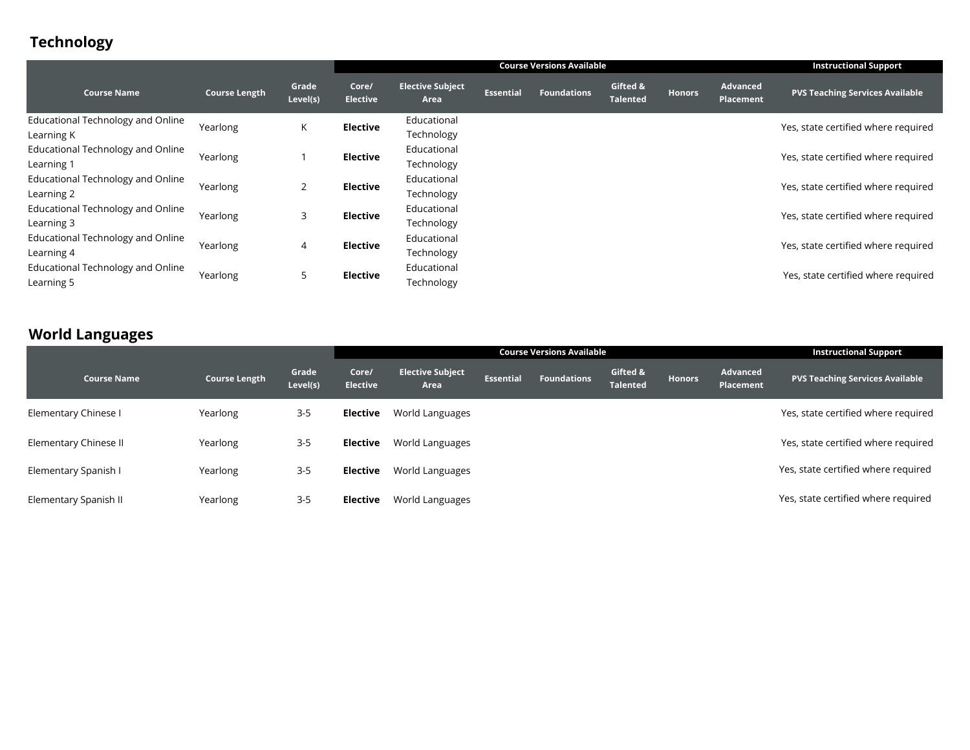# **Technology**

|                                                        |                      |                   | <b>Course Versions Available</b> |                                 |                  |                    |                             |               |                                     | <b>Instructional Support</b>           |
|--------------------------------------------------------|----------------------|-------------------|----------------------------------|---------------------------------|------------------|--------------------|-----------------------------|---------------|-------------------------------------|----------------------------------------|
| <b>Course Name</b>                                     | <b>Course Length</b> | Grade<br>Level(s) | Core/<br><b>Elective</b>         | <b>Elective Subject</b><br>Area | <b>Essential</b> | <b>Foundations</b> | Gifted &<br><b>Talented</b> | <b>Honors</b> | <b>Advanced</b><br><b>Placement</b> | <b>PVS Teaching Services Available</b> |
| <b>Educational Technology and Online</b><br>Learning K | Yearlong             | K                 | <b>Elective</b>                  | Educational<br>Technology       |                  |                    |                             |               |                                     | Yes, state certified where required    |
| <b>Educational Technology and Online</b><br>Learning 1 | Yearlong             |                   | <b>Elective</b>                  | Educational<br>Technology       |                  |                    |                             |               |                                     | Yes, state certified where required    |
| <b>Educational Technology and Online</b><br>Learning 2 | Yearlong             | $\overline{2}$    | <b>Elective</b>                  | Educational<br>Technology       |                  |                    |                             |               |                                     | Yes, state certified where required    |
| <b>Educational Technology and Online</b><br>Learning 3 | Yearlong             | 3                 | <b>Elective</b>                  | Educational<br>Technology       |                  |                    |                             |               |                                     | Yes, state certified where required    |
| <b>Educational Technology and Online</b><br>Learning 4 | Yearlong             | $\overline{4}$    | <b>Elective</b>                  | Educational<br>Technology       |                  |                    |                             |               |                                     | Yes, state certified where required    |
| Educational Technology and Online<br>Learning 5        | Yearlong             | 5                 | <b>Elective</b>                  | Educational<br>Technology       |                  |                    |                             |               |                                     | Yes, state certified where required    |

## **World Languages**

|                       |               |                   |                          |                                 | <b>Instructional Support</b> |                    |                             |               |                                     |                                        |
|-----------------------|---------------|-------------------|--------------------------|---------------------------------|------------------------------|--------------------|-----------------------------|---------------|-------------------------------------|----------------------------------------|
| Course Name           | Course Length | Grade<br>Level(s) | Core/<br><b>Elective</b> | <b>Elective Subject</b><br>Area | <b>Essential</b>             | <b>Foundations</b> | Gifted &<br><b>Talented</b> | <b>Honors</b> | <b>Advanced</b><br><b>Placement</b> | <b>PVS Teaching Services Available</b> |
| Elementary Chinese I  | Yearlong      | $3 - 5$           | Elective                 | World Languages                 |                              |                    |                             |               |                                     | Yes, state certified where required    |
| Elementary Chinese II | Yearlong      | $3 - 5$           | <b>Elective</b>          | World Languages                 |                              |                    |                             |               |                                     | Yes, state certified where required    |
| Elementary Spanish I  | Yearlong      | $3 - 5$           | <b>Elective</b>          | World Languages                 |                              |                    |                             |               |                                     | Yes, state certified where required    |
| Elementary Spanish II | Yearlong      | $3 - 5$           | <b>Elective</b>          | World Languages                 |                              |                    |                             |               |                                     | Yes, state certified where required    |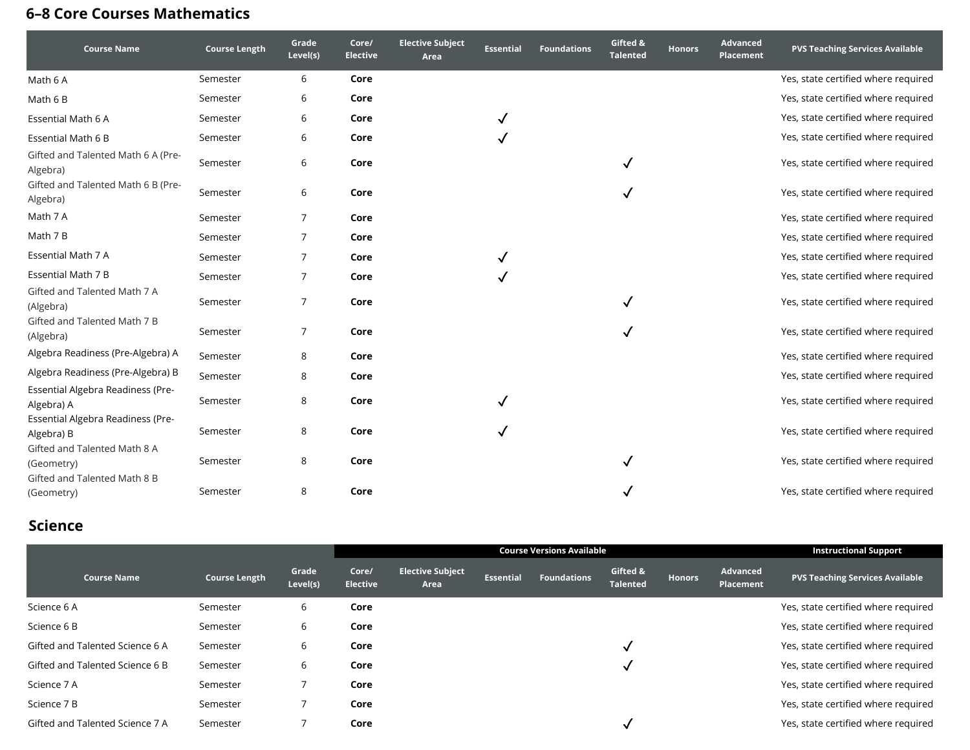# **6–8 Core Courses Mathematics**

| <b>Course Name</b>                              | <b>Course Length</b> | Grade<br>Level(s) | Core/<br><b>Elective</b> | <b>Elective Subject</b><br>Area | <b>Essential</b> | <b>Foundations</b> | Gifted &<br><b>Talented</b> | <b>Honors</b> | <b>Advanced</b><br><b>Placement</b> | <b>PVS Teaching Services Available</b> |
|-------------------------------------------------|----------------------|-------------------|--------------------------|---------------------------------|------------------|--------------------|-----------------------------|---------------|-------------------------------------|----------------------------------------|
| Math 6 A                                        | Semester             | 6                 | Core                     |                                 |                  |                    |                             |               |                                     | Yes, state certified where required    |
| Math 6 B                                        | Semester             | 6                 | Core                     |                                 |                  |                    |                             |               |                                     | Yes, state certified where required    |
| Essential Math 6 A                              | Semester             | 6                 | Core                     |                                 |                  |                    |                             |               |                                     | Yes, state certified where required    |
| Essential Math 6 B                              | Semester             | 6                 | Core                     |                                 |                  |                    |                             |               |                                     | Yes, state certified where required    |
| Gifted and Talented Math 6 A (Pre-<br>Algebra)  | Semester             | 6                 | Core                     |                                 |                  |                    | $\checkmark$                |               |                                     | Yes, state certified where required    |
| Gifted and Talented Math 6 B (Pre-<br>Algebra)  | Semester             | 6                 | Core                     |                                 |                  |                    |                             |               |                                     | Yes, state certified where required    |
| Math 7 A                                        | Semester             | 7                 | Core                     |                                 |                  |                    |                             |               |                                     | Yes, state certified where required    |
| Math 7 B                                        | Semester             | 7                 | Core                     |                                 |                  |                    |                             |               |                                     | Yes, state certified where required    |
| Essential Math 7 A                              | Semester             | 7                 | Core                     |                                 |                  |                    |                             |               |                                     | Yes, state certified where required    |
| Essential Math 7 B                              | Semester             | 7                 | Core                     |                                 |                  |                    |                             |               |                                     | Yes, state certified where required    |
| Gifted and Talented Math 7 A<br>(Algebra)       | Semester             | 7                 | Core                     |                                 |                  |                    |                             |               |                                     | Yes, state certified where required    |
| Gifted and Talented Math 7 B<br>(Algebra)       | Semester             | 7                 | Core                     |                                 |                  |                    |                             |               |                                     | Yes, state certified where required    |
| Algebra Readiness (Pre-Algebra) A               | Semester             | 8                 | Core                     |                                 |                  |                    |                             |               |                                     | Yes, state certified where required    |
| Algebra Readiness (Pre-Algebra) B               | Semester             | 8                 | Core                     |                                 |                  |                    |                             |               |                                     | Yes, state certified where required    |
| Essential Algebra Readiness (Pre-<br>Algebra) A | Semester             | 8                 | Core                     |                                 |                  |                    |                             |               |                                     | Yes, state certified where required    |
| Essential Algebra Readiness (Pre-<br>Algebra) B | Semester             | 8                 | Core                     |                                 |                  |                    |                             |               |                                     | Yes, state certified where required    |
| Gifted and Talented Math 8 A<br>(Geometry)      | Semester             | 8                 | Core                     |                                 |                  |                    |                             |               |                                     | Yes, state certified where required    |
| Gifted and Talented Math 8 B<br>(Geometry)      | Semester             | 8                 | Core                     |                                 |                  |                    |                             |               |                                     | Yes, state certified where required    |

### **Science**

|                                 |                      |                   |                          |                                 | <b>Instructional Support</b> |                    |                             |               |                       |                                        |
|---------------------------------|----------------------|-------------------|--------------------------|---------------------------------|------------------------------|--------------------|-----------------------------|---------------|-----------------------|----------------------------------------|
| <b>Course Name</b>              | <b>Course Length</b> | Grade<br>Level(s) | Core/<br><b>Elective</b> | <b>Elective Subject</b><br>Area | <b>Essential</b>             | <b>Foundations</b> | Gifted &<br><b>Talented</b> | <b>Honors</b> | Advanced<br>Placement | <b>PVS Teaching Services Available</b> |
| Science 6 A                     | Semester             | 6                 | Core                     |                                 |                              |                    |                             |               |                       | Yes, state certified where required    |
| Science 6 B                     | Semester             | 6                 | Core                     |                                 |                              |                    |                             |               |                       | Yes, state certified where required    |
| Gifted and Talented Science 6 A | Semester             | 6                 | Core                     |                                 |                              |                    |                             |               |                       | Yes, state certified where required    |
| Gifted and Talented Science 6 B | Semester             | 6                 | Core                     |                                 |                              |                    |                             |               |                       | Yes, state certified where required    |
| Science 7 A                     | Semester             |                   | Core                     |                                 |                              |                    |                             |               |                       | Yes, state certified where required    |
| Science 7 B                     | Semester             |                   | Core                     |                                 |                              |                    |                             |               |                       | Yes, state certified where required    |
| Gifted and Talented Science 7 A | Semester             |                   | Core                     |                                 |                              |                    |                             |               |                       | Yes, state certified where required    |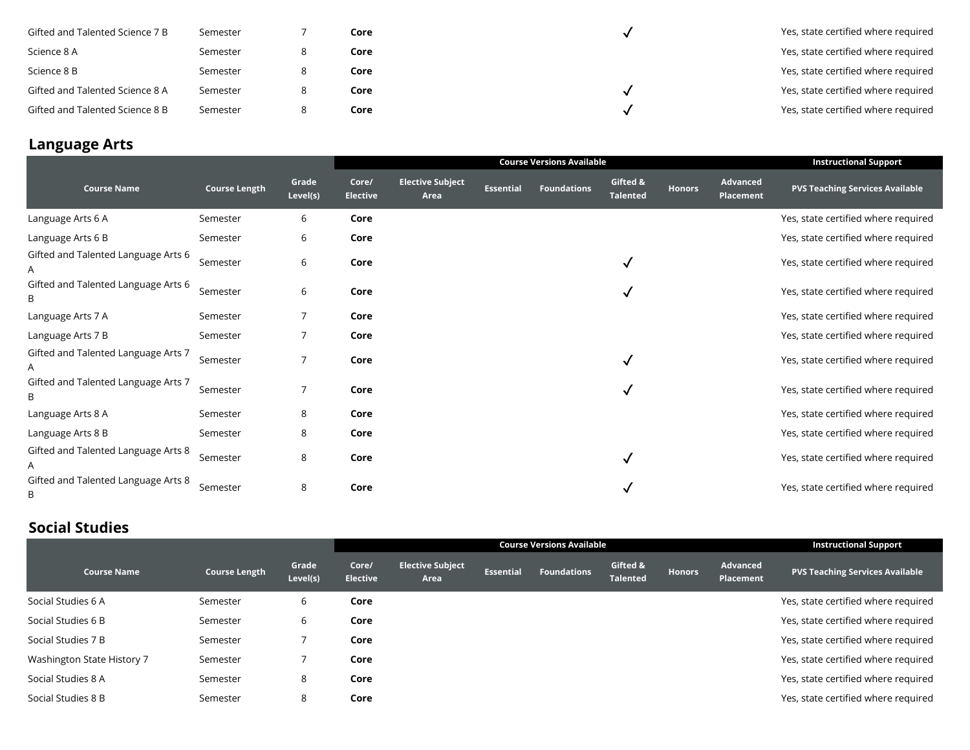| Gifted and Talented Science 7 B | Semester | Core | Yes, state certified where required |
|---------------------------------|----------|------|-------------------------------------|
| Science 8 A                     | Semester | Core | Yes, state certified where required |
| Science 8 B                     | Semester | Core | Yes, state certified where required |
| Gifted and Talented Science 8 A | Semester | Core | Yes, state certified where required |
| Gifted and Talented Science 8 B | Semester | Core | Yes, state certified where required |

## **Language Arts**

|                                          |                      |                   |                          |                                 | <b>Instructional Support</b> |                    |                             |               |                                     |                                        |
|------------------------------------------|----------------------|-------------------|--------------------------|---------------------------------|------------------------------|--------------------|-----------------------------|---------------|-------------------------------------|----------------------------------------|
| <b>Course Name</b>                       | <b>Course Length</b> | Grade<br>Level(s) | Core/<br><b>Elective</b> | <b>Elective Subject</b><br>Area | <b>Essential</b>             | <b>Foundations</b> | Gifted &<br><b>Talented</b> | <b>Honors</b> | <b>Advanced</b><br><b>Placement</b> | <b>PVS Teaching Services Available</b> |
| Language Arts 6 A                        | Semester             | 6                 | Core                     |                                 |                              |                    |                             |               |                                     | Yes, state certified where required    |
| Language Arts 6 B                        | Semester             | 6                 | Core                     |                                 |                              |                    |                             |               |                                     | Yes, state certified where required    |
| Gifted and Talented Language Arts 6<br>A | Semester             | 6                 | Core                     |                                 |                              |                    | ✓                           |               |                                     | Yes, state certified where required    |
| Gifted and Talented Language Arts 6<br>B | Semester             | 6                 | Core                     |                                 |                              |                    |                             |               |                                     | Yes, state certified where required    |
| Language Arts 7 A                        | Semester             | 7                 | Core                     |                                 |                              |                    |                             |               |                                     | Yes, state certified where required    |
| Language Arts 7 B                        | Semester             | 7                 | Core                     |                                 |                              |                    |                             |               |                                     | Yes, state certified where required    |
| Gifted and Talented Language Arts 7<br>A | Semester             | 7                 | Core                     |                                 |                              |                    | √                           |               |                                     | Yes, state certified where required    |
| Gifted and Talented Language Arts 7<br>B | Semester             | 7                 | Core                     |                                 |                              |                    |                             |               |                                     | Yes, state certified where required    |
| Language Arts 8 A                        | Semester             | 8                 | Core                     |                                 |                              |                    |                             |               |                                     | Yes, state certified where required    |
| Language Arts 8 B                        | Semester             | 8                 | Core                     |                                 |                              |                    |                             |               |                                     | Yes, state certified where required    |
| Gifted and Talented Language Arts 8<br>A | Semester             | 8                 | Core                     |                                 |                              |                    | ✓                           |               |                                     | Yes, state certified where required    |
| Gifted and Talented Language Arts 8<br>B | Semester             | 8                 | Core                     |                                 |                              |                    | √                           |               |                                     | Yes, state certified where required    |

## **Social Studies**

|                            |                      |                   |                          |                                 | <b>Instructional Support</b> |                    |                             |               |                              |                                        |
|----------------------------|----------------------|-------------------|--------------------------|---------------------------------|------------------------------|--------------------|-----------------------------|---------------|------------------------------|----------------------------------------|
| <b>Course Name</b>         | <b>Course Length</b> | Grade<br>Level(s) | Core/<br><b>Elective</b> | <b>Elective Subject</b><br>Area | <b>Essential</b>             | <b>Foundations</b> | Gifted &<br><b>Talented</b> | <b>Honors</b> | <b>Advanced</b><br>Placement | <b>PVS Teaching Services Available</b> |
| Social Studies 6 A         | Semester             | b                 | Core                     |                                 |                              |                    |                             |               |                              | Yes, state certified where required    |
| Social Studies 6 B         | Semester             | b                 | Core                     |                                 |                              |                    |                             |               |                              | Yes, state certified where required    |
| Social Studies 7 B         | Semester             |                   | Core                     |                                 |                              |                    |                             |               |                              | Yes, state certified where required    |
| Washington State History 7 | Semester             |                   | Core                     |                                 |                              |                    |                             |               |                              | Yes, state certified where required    |
| Social Studies 8 A         | Semester             | 8                 | Core                     |                                 |                              |                    |                             |               |                              | Yes, state certified where required    |
| Social Studies 8 B         | Semester             | 8                 | Core                     |                                 |                              |                    |                             |               |                              | Yes, state certified where required    |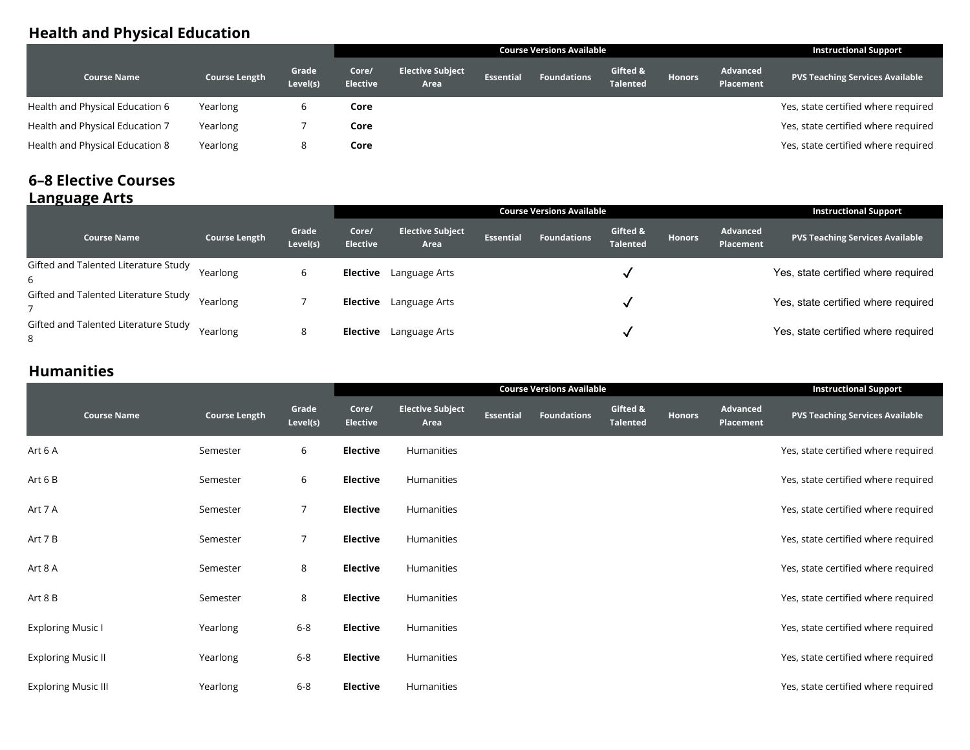## **Health and Physical Education**

|                                 |                      |                   | <b>Course Versions Available</b> |                                 |                  |                    |                             |               |                                     | <b>Instructional Support</b>           |
|---------------------------------|----------------------|-------------------|----------------------------------|---------------------------------|------------------|--------------------|-----------------------------|---------------|-------------------------------------|----------------------------------------|
| <b>Course Name</b>              | <b>Course Length</b> | Grade<br>Level(s) | Core/<br><b>Elective</b>         | <b>Elective Subject</b><br>Area | <b>Essential</b> | <b>Foundations</b> | Gifted &<br><b>Talented</b> | <b>Honors</b> | <b>Advanced</b><br><b>Placement</b> | <b>PVS Teaching Services Available</b> |
| Health and Physical Education 6 | Yearlong             |                   | Core                             |                                 |                  |                    |                             |               |                                     | Yes, state certified where required    |
| Health and Physical Education 7 | Yearlong             |                   | Core                             |                                 |                  |                    |                             |               |                                     | Yes, state certified where required    |
| Health and Physical Education 8 | Yearlong             |                   | Core                             |                                 |                  |                    |                             |               |                                     | Yes, state certified where required    |

#### **6–8 Elective Courses Language Arts**

| .                                         |                      |                   |                          |                                 | <b>Instructional Support</b> |                    |                             |               |                              |                                        |
|-------------------------------------------|----------------------|-------------------|--------------------------|---------------------------------|------------------------------|--------------------|-----------------------------|---------------|------------------------------|----------------------------------------|
| <b>Course Name</b>                        | <b>Course Length</b> | Grade<br>Level(s) | Core/<br><b>Elective</b> | <b>Elective Subject</b><br>Area | <b>Essential</b>             | <b>Foundations</b> | Gifted &<br><b>Talented</b> | <b>Honors</b> | Advanced<br><b>Placement</b> | <b>PVS Teaching Services Available</b> |
| Gifted and Talented Literature Study<br>6 | Yearlong             | b                 | <b>Elective</b>          | Language Arts                   |                              |                    |                             |               |                              | Yes, state certified where required    |
| Gifted and Talented Literature Study      | Yearlong             |                   | <b>Elective</b>          | Language Arts                   |                              |                    |                             |               |                              | Yes, state certified where required    |
| Gifted and Talented Literature Study<br>8 | Yearlong             | 8                 | <b>Elective</b>          | Language Arts                   |                              |                    |                             |               |                              | Yes, state certified where required    |

## **Humanities**

|                            |                      |                   | <b>Course Versions Available</b> |                                 |           |                    |                             |               |                              | <b>Instructional Support</b>           |
|----------------------------|----------------------|-------------------|----------------------------------|---------------------------------|-----------|--------------------|-----------------------------|---------------|------------------------------|----------------------------------------|
| <b>Course Name</b>         | <b>Course Length</b> | Grade<br>Level(s) | Core/<br><b>Elective</b>         | <b>Elective Subject</b><br>Area | Essential | <b>Foundations</b> | Gifted &<br><b>Talented</b> | <b>Honors</b> | Advanced<br><b>Placement</b> | <b>PVS Teaching Services Available</b> |
| Art 6 A                    | Semester             | 6                 | <b>Elective</b>                  | Humanities                      |           |                    |                             |               |                              | Yes, state certified where required    |
| Art 6 B                    | Semester             | 6                 | <b>Elective</b>                  | Humanities                      |           |                    |                             |               |                              | Yes, state certified where required    |
| Art 7 A                    | Semester             | 7                 | <b>Elective</b>                  | Humanities                      |           |                    |                             |               |                              | Yes, state certified where required    |
| Art 7 B                    | Semester             | 7                 | <b>Elective</b>                  | Humanities                      |           |                    |                             |               |                              | Yes, state certified where required    |
| Art 8 A                    | Semester             | 8                 | <b>Elective</b>                  | Humanities                      |           |                    |                             |               |                              | Yes, state certified where required    |
| Art 8 B                    | Semester             | 8                 | <b>Elective</b>                  | Humanities                      |           |                    |                             |               |                              | Yes, state certified where required    |
| <b>Exploring Music I</b>   | Yearlong             | $6 - 8$           | <b>Elective</b>                  | Humanities                      |           |                    |                             |               |                              | Yes, state certified where required    |
| <b>Exploring Music II</b>  | Yearlong             | $6 - 8$           | <b>Elective</b>                  | Humanities                      |           |                    |                             |               |                              | Yes, state certified where required    |
| <b>Exploring Music III</b> | Yearlong             | $6 - 8$           | <b>Elective</b>                  | Humanities                      |           |                    |                             |               |                              | Yes, state certified where required    |